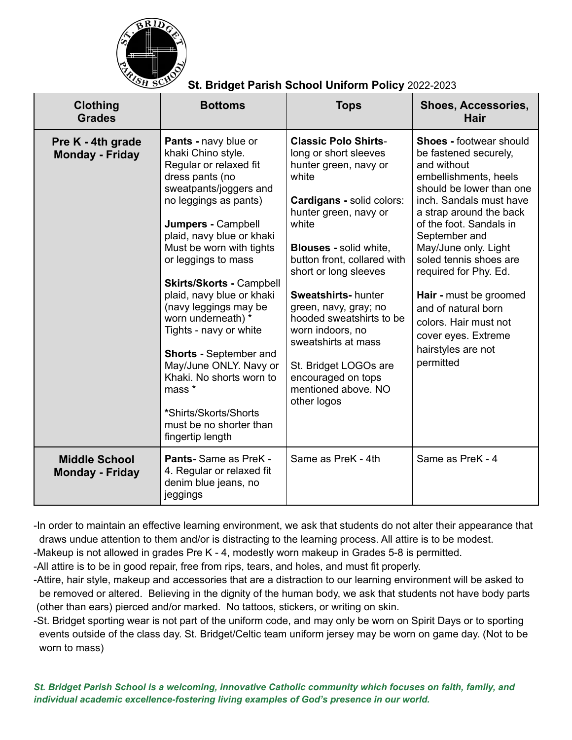

## **St. Bridget Parish School Uniform Policy** 2022-2023

| <b>Clothing</b><br><b>Grades</b>               | <b>Bottoms</b>                                                                                                                                                                                                                                                                                                                                                                                                                                                                                                                                                     | <b>Tops</b>                                                                                                                                                                                                                                                                                                                                                                                                                                                      | <b>Shoes, Accessories,</b><br>Hair                                                                                                                                                                                                                                                                                                                                                                                                           |
|------------------------------------------------|--------------------------------------------------------------------------------------------------------------------------------------------------------------------------------------------------------------------------------------------------------------------------------------------------------------------------------------------------------------------------------------------------------------------------------------------------------------------------------------------------------------------------------------------------------------------|------------------------------------------------------------------------------------------------------------------------------------------------------------------------------------------------------------------------------------------------------------------------------------------------------------------------------------------------------------------------------------------------------------------------------------------------------------------|----------------------------------------------------------------------------------------------------------------------------------------------------------------------------------------------------------------------------------------------------------------------------------------------------------------------------------------------------------------------------------------------------------------------------------------------|
| Pre K - 4th grade<br><b>Monday - Friday</b>    | Pants - navy blue or<br>khaki Chino style.<br>Regular or relaxed fit<br>dress pants (no<br>sweatpants/joggers and<br>no leggings as pants)<br>Jumpers - Campbell<br>plaid, navy blue or khaki<br>Must be worn with tights<br>or leggings to mass<br><b>Skirts/Skorts - Campbell</b><br>plaid, navy blue or khaki<br>(navy leggings may be<br>worn underneath) *<br>Tights - navy or white<br><b>Shorts - September and</b><br>May/June ONLY. Navy or<br>Khaki. No shorts worn to<br>mass *<br>*Shirts/Skorts/Shorts<br>must be no shorter than<br>fingertip length | <b>Classic Polo Shirts-</b><br>long or short sleeves<br>hunter green, navy or<br>white<br>Cardigans - solid colors:<br>hunter green, navy or<br>white<br><b>Blouses - solid white,</b><br>button front, collared with<br>short or long sleeves<br><b>Sweatshirts-hunter</b><br>green, navy, gray; no<br>hooded sweatshirts to be<br>worn indoors, no<br>sweatshirts at mass<br>St. Bridget LOGOs are<br>encouraged on tops<br>mentioned above. NO<br>other logos | <b>Shoes - footwear should</b><br>be fastened securely,<br>and without<br>embellishments, heels<br>should be lower than one<br>inch. Sandals must have<br>a strap around the back<br>of the foot. Sandals in<br>September and<br>May/June only. Light<br>soled tennis shoes are<br>required for Phy. Ed.<br>Hair - must be groomed<br>and of natural born<br>colors. Hair must not<br>cover eyes. Extreme<br>hairstyles are not<br>permitted |
| <b>Middle School</b><br><b>Monday - Friday</b> | Pants-Same as PreK -<br>4. Regular or relaxed fit<br>denim blue jeans, no<br>jeggings                                                                                                                                                                                                                                                                                                                                                                                                                                                                              | Same as PreK - 4th                                                                                                                                                                                                                                                                                                                                                                                                                                               | Same as PreK - 4                                                                                                                                                                                                                                                                                                                                                                                                                             |

-In order to maintain an effective learning environment, we ask that students do not alter their appearance that draws undue attention to them and/or is distracting to the learning process. All attire is to be modest.

-Makeup is not allowed in grades Pre K - 4, modestly worn makeup in Grades 5-8 is permitted.

-All attire is to be in good repair, free from rips, tears, and holes, and must fit properly.

-Attire, hair style, makeup and accessories that are a distraction to our learning environment will be asked to be removed or altered. Believing in the dignity of the human body, we ask that students not have body parts (other than ears) pierced and/or marked. No tattoos, stickers, or writing on skin.

-St. Bridget sporting wear is not part of the uniform code, and may only be worn on Spirit Days or to sporting events outside of the class day. St. Bridget/Celtic team uniform jersey may be worn on game day. (Not to be worn to mass)

*St. Bridget Parish School is a welcoming, innovative Catholic community which focuses on faith, family, and individual academic excellence-fostering living examples of God's presence in our world.*